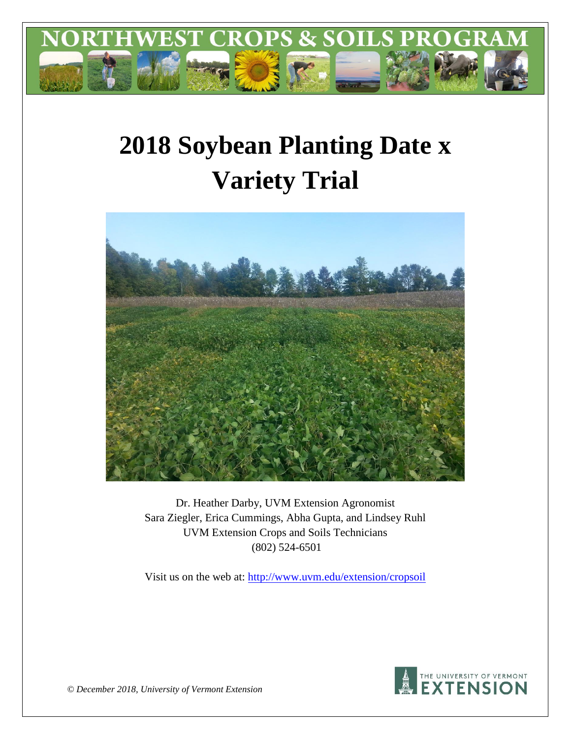

# **2018 Soybean Planting Date x Variety Trial**



Dr. Heather Darby, UVM Extension Agronomist Sara Ziegler, Erica Cummings, Abha Gupta, and Lindsey Ruhl UVM Extension Crops and Soils Technicians (802) 524-6501

Visit us on the web at: <http://www.uvm.edu/extension/cropsoil>



*© December 2018, University of Vermont Extension*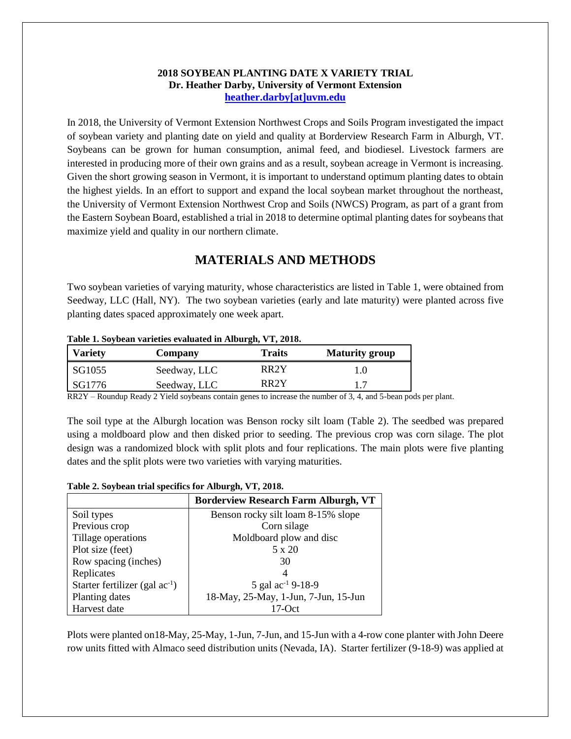#### **2018 SOYBEAN PLANTING DATE X VARIETY TRIAL Dr. Heather Darby, University of Vermont Extension [heather.darby\[at\]uvm.edu](mailto:heather.darby@uvm.edu?subject=2012%20Short%20Season%20Corn%20Report)**

In 2018, the University of Vermont Extension Northwest Crops and Soils Program investigated the impact of soybean variety and planting date on yield and quality at Borderview Research Farm in Alburgh, VT. Soybeans can be grown for human consumption, animal feed, and biodiesel. Livestock farmers are interested in producing more of their own grains and as a result, soybean acreage in Vermont is increasing. Given the short growing season in Vermont, it is important to understand optimum planting dates to obtain the highest yields. In an effort to support and expand the local soybean market throughout the northeast, the University of Vermont Extension Northwest Crop and Soils (NWCS) Program, as part of a grant from the Eastern Soybean Board, established a trial in 2018 to determine optimal planting dates for soybeans that maximize yield and quality in our northern climate.

# **MATERIALS AND METHODS**

Two soybean varieties of varying maturity, whose characteristics are listed in Table 1, were obtained from Seedway, LLC (Hall, NY). The two soybean varieties (early and late maturity) were planted across five planting dates spaced approximately one week apart.

| Table 1. Suyutan varietles evaluated in Alburgii, VI, 2010. |              |                   |                       |  |  |  |
|-------------------------------------------------------------|--------------|-------------------|-----------------------|--|--|--|
| <b>Variety</b>                                              | Company      | <b>Traits</b>     | <b>Maturity group</b> |  |  |  |
| SG1055                                                      | Seedway, LLC | RR2Y              | 1.O                   |  |  |  |
| SG1776                                                      | Seedway, LLC | RR <sub>2</sub> Y |                       |  |  |  |

#### **Table 1. Soybean varieties evaluated in Alburgh, VT, 2018.**

RR2Y – Roundup Ready 2 Yield soybeans contain genes to increase the number of 3, 4, and 5-bean pods per plant.

The soil type at the Alburgh location was Benson rocky silt loam (Table 2). The seedbed was prepared using a moldboard plow and then disked prior to seeding. The previous crop was corn silage. The plot design was a randomized block with split plots and four replications. The main plots were five planting dates and the split plots were two varieties with varying maturities.

#### **Table 2. Soybean trial specifics for Alburgh, VT, 2018.**

|                                     | <b>Borderview Research Farm Alburgh, VT</b> |  |  |
|-------------------------------------|---------------------------------------------|--|--|
| Soil types                          | Benson rocky silt loam 8-15% slope          |  |  |
| Previous crop                       | Corn silage                                 |  |  |
| Tillage operations                  | Moldboard plow and disc                     |  |  |
| Plot size (feet)                    | 5 x 20                                      |  |  |
| Row spacing (inches)                | 30                                          |  |  |
| Replicates                          |                                             |  |  |
| Starter fertilizer (gal $ac^{-1}$ ) | 5 gal ac <sup>-1</sup> 9-18-9               |  |  |
| Planting dates                      | 18-May, 25-May, 1-Jun, 7-Jun, 15-Jun        |  |  |
| Harvest date                        | 17-Oct                                      |  |  |

Plots were planted on18-May, 25-May, 1-Jun, 7-Jun, and 15-Jun with a 4-row cone planter with John Deere row units fitted with Almaco seed distribution units (Nevada, IA). Starter fertilizer (9-18-9) was applied at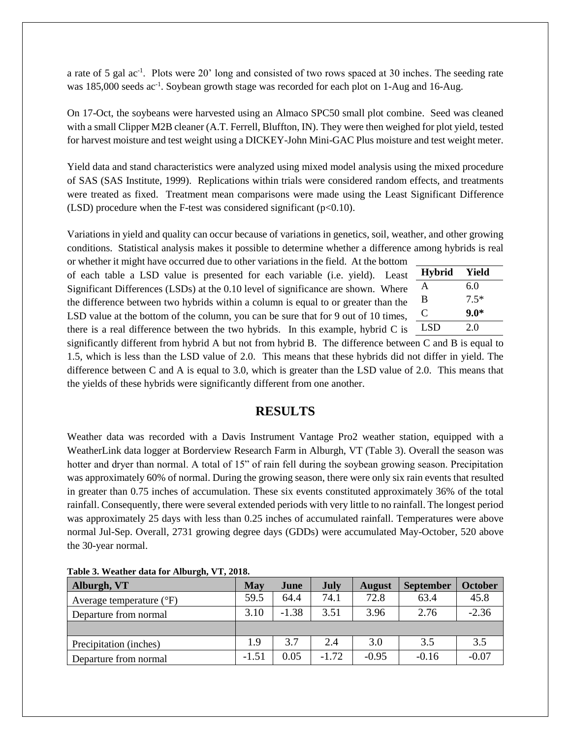a rate of 5 gal ac<sup>-1</sup>. Plots were 20' long and consisted of two rows spaced at 30 inches. The seeding rate was 185,000 seeds ac<sup>-1</sup>. Soybean growth stage was recorded for each plot on 1-Aug and 16-Aug.

On 17-Oct, the soybeans were harvested using an Almaco SPC50 small plot combine. Seed was cleaned with a small Clipper M2B cleaner (A.T. Ferrell, Bluffton, IN). They were then weighed for plot yield, tested for harvest moisture and test weight using a DICKEY-John Mini-GAC Plus moisture and test weight meter.

Yield data and stand characteristics were analyzed using mixed model analysis using the mixed procedure of SAS (SAS Institute, 1999). Replications within trials were considered random effects, and treatments were treated as fixed. Treatment mean comparisons were made using the Least Significant Difference (LSD) procedure when the F-test was considered significant ( $p<0.10$ ).

Variations in yield and quality can occur because of variations in genetics, soil, weather, and other growing conditions. Statistical analysis makes it possible to determine whether a difference among hybrids is real

or whether it might have occurred due to other variations in the field. At the bottom of each table a LSD value is presented for each variable (i.e. yield). Least Significant Differences (LSDs) at the 0.10 level of significance are shown. Where the difference between two hybrids within a column is equal to or greater than the LSD value at the bottom of the column, you can be sure that for 9 out of 10 times, there is a real difference between the two hybrids. In this example, hybrid C is

| <b>Hybrid</b> | Yield  |
|---------------|--------|
| A             | 6.0    |
| B             | $7.5*$ |
| C             | $9.0*$ |
| LSD           | 2.0    |

significantly different from hybrid A but not from hybrid B. The difference between C and B is equal to 1.5, which is less than the LSD value of 2.0. This means that these hybrids did not differ in yield. The difference between C and A is equal to 3.0, which is greater than the LSD value of 2.0. This means that the yields of these hybrids were significantly different from one another.

### **RESULTS**

Weather data was recorded with a Davis Instrument Vantage Pro2 weather station, equipped with a WeatherLink data logger at Borderview Research Farm in Alburgh, VT (Table 3). Overall the season was hotter and dryer than normal. A total of 15" of rain fell during the soybean growing season. Precipitation was approximately 60% of normal. During the growing season, there were only six rain events that resulted in greater than 0.75 inches of accumulation. These six events constituted approximately 36% of the total rainfall. Consequently, there were several extended periods with very little to no rainfall. The longest period was approximately 25 days with less than 0.25 inches of accumulated rainfall. Temperatures were above normal Jul-Sep. Overall, 2731 growing degree days (GDDs) were accumulated May-October, 520 above the 30-year normal.

| Alburgh, VT                         | May     | June    | <b>July</b> | <b>August</b> | <b>September</b> | <b>October</b> |
|-------------------------------------|---------|---------|-------------|---------------|------------------|----------------|
| Average temperature $({}^{\circ}F)$ | 59.5    | 64.4    | 74.1        | 72.8          | 63.4             | 45.8           |
| Departure from normal               | 3.10    | $-1.38$ | 3.51        | 3.96          | 2.76             | $-2.36$        |
|                                     |         |         |             |               |                  |                |
| Precipitation (inches)              | 1.9     | 3.7     | 2.4         | 3.0           | 3.5              | 3.5            |
| Departure from normal               | $-1.51$ | 0.05    | $-1.72$     | $-0.95$       | $-0.16$          | $-0.07$        |

**Table 3. Weather data for Alburgh, VT, 2018.**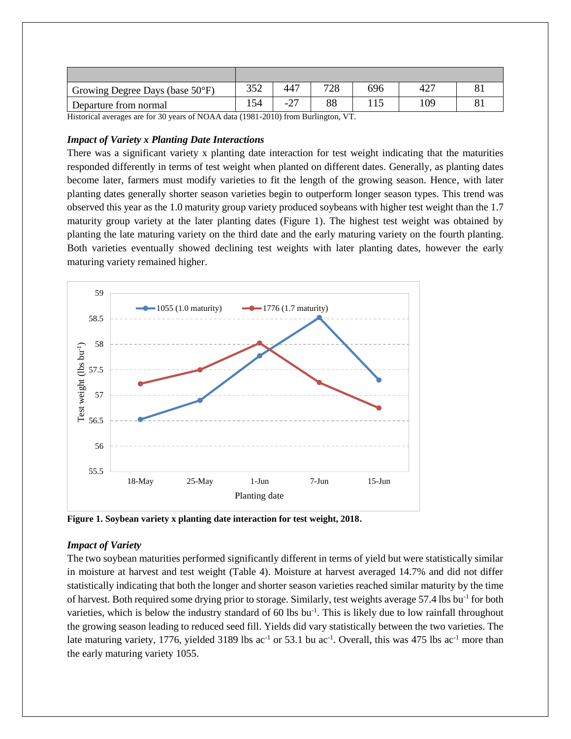| Growing Degree Days (base $50^{\circ}$ F)                                                                                                                                                                                                                                                                                                                                                                     | 352 | 447 | 700 | 696 | $42-$ |  |
|---------------------------------------------------------------------------------------------------------------------------------------------------------------------------------------------------------------------------------------------------------------------------------------------------------------------------------------------------------------------------------------------------------------|-----|-----|-----|-----|-------|--|
| Departure from normal                                                                                                                                                                                                                                                                                                                                                                                         |     |     |     |     | 109   |  |
| $\mathbf{H}^{\bullet}$ , $\mathbf{H}^{\bullet}$ , $\mathbf{H}^{\bullet}$ , $\mathbf{H}^{\bullet}$ , $\mathbf{H}^{\bullet}$ , $\mathbf{H}^{\bullet}$ , $\mathbf{H}^{\bullet}$ , $\mathbf{H}^{\bullet}$ , $\mathbf{H}^{\bullet}$ , $\mathbf{H}^{\bullet}$ , $\mathbf{H}^{\bullet}$ , $\mathbf{H}^{\bullet}$ , $\mathbf{H}^{\bullet}$ , $\mathbf{H}^{\bullet}$ , $\mathbf{H}^{\bullet}$ , $\mathbf{H}^{\bullet}$ |     |     |     |     |       |  |

Historical averages are for 30 years of NOAA data (1981-2010) from Burlington, VT.

#### *Impact of Variety x Planting Date Interactions*

There was a significant variety x planting date interaction for test weight indicating that the maturities responded differently in terms of test weight when planted on different dates. Generally, as planting dates become later, farmers must modify varieties to fit the length of the growing season. Hence, with later planting dates generally shorter season varieties begin to outperform longer season types. This trend was observed this year as the 1.0 maturity group variety produced soybeans with higher test weight than the 1.7 maturity group variety at the later planting dates (Figure 1). The highest test weight was obtained by planting the late maturing variety on the third date and the early maturing variety on the fourth planting. Both varieties eventually showed declining test weights with later planting dates, however the early maturing variety remained higher.



**Figure 1. Soybean variety x planting date interaction for test weight, 2018.**

#### *Impact of Variety*

The two soybean maturities performed significantly different in terms of yield but were statistically similar in moisture at harvest and test weight (Table 4). Moisture at harvest averaged 14.7% and did not differ statistically indicating that both the longer and shorter season varieties reached similar maturity by the time of harvest. Both required some drying prior to storage. Similarly, test weights average 57.4 lbs bu<sup>-1</sup> for both varieties, which is below the industry standard of  $60$  lbs bu<sup>-1</sup>. This is likely due to low rainfall throughout the growing season leading to reduced seed fill. Yields did vary statistically between the two varieties. The late maturing variety, 1776, yielded 3189 lbs ac<sup>-1</sup> or 53.1 bu ac<sup>-1</sup>. Overall, this was 475 lbs ac<sup>-1</sup> more than the early maturing variety 1055.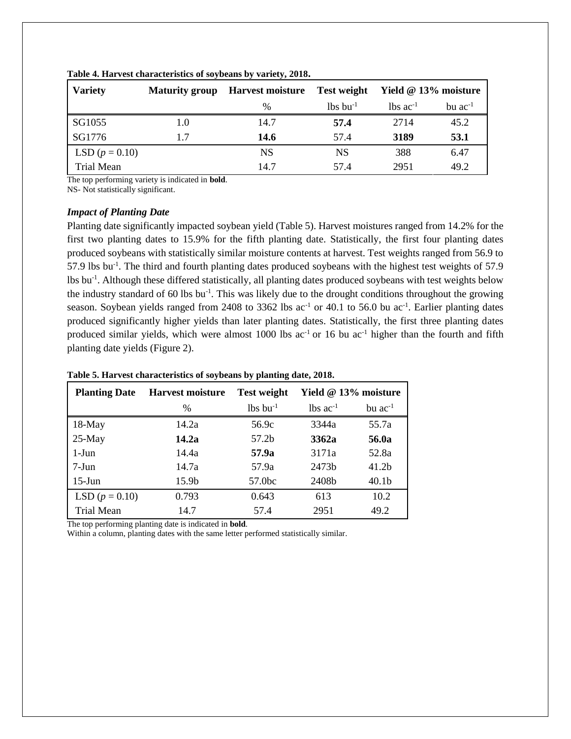| <b>Variety</b>   | <b>Maturity group</b> | <b>Harvest moisture</b> | <b>Test weight</b>     | Yield @ 13% moisture     |                |
|------------------|-----------------------|-------------------------|------------------------|--------------------------|----------------|
|                  |                       | $\%$                    | $lbs$ bu <sup>-1</sup> | $\ln$ s ac <sup>-1</sup> | $bu$ $ac^{-1}$ |
| SG1055           | 1.0                   | 14.7                    | 57.4                   | 2714                     | 45.2           |
| SG1776           | 1.7                   | 14.6                    | 57.4                   | 3189                     | 53.1           |
| LSD $(p = 0.10)$ |                       | <b>NS</b>               | <b>NS</b>              | 388                      | 6.47           |
| Trial Mean       |                       | 14.7                    | 57.4                   | 2951                     | 49.2           |

**Table 4. Harvest characteristics of soybeans by variety, 2018.**

The top performing variety is indicated in **bold**.

NS- Not statistically significant.

#### *Impact of Planting Date*

Planting date significantly impacted soybean yield (Table 5). Harvest moistures ranged from 14.2% for the first two planting dates to 15.9% for the fifth planting date. Statistically, the first four planting dates produced soybeans with statistically similar moisture contents at harvest. Test weights ranged from 56.9 to 57.9 lbs bu<sup>-1</sup>. The third and fourth planting dates produced soybeans with the highest test weights of 57.9 lbs bu<sup>-1</sup>. Although these differed statistically, all planting dates produced soybeans with test weights below the industry standard of 60 lbs bu<sup>-1</sup>. This was likely due to the drought conditions throughout the growing season. Soybean yields ranged from 2408 to 3362 lbs  $ac^{-1}$  or 40.1 to 56.0 bu  $ac^{-1}$ . Earlier planting dates produced significantly higher yields than later planting dates. Statistically, the first three planting dates produced similar yields, which were almost 1000 lbs  $ac^{-1}$  or 16 bu  $ac^{-1}$  higher than the fourth and fifth planting date yields (Figure 2).

| <b>Planting Date</b> | <b>Harvest moisture</b> | <b>Test weight</b>     | Yield @ 13% moisture          |                   |
|----------------------|-------------------------|------------------------|-------------------------------|-------------------|
|                      | $\%$                    | $lbs$ bu <sup>-1</sup> | $\text{lbs}$ ac <sup>-1</sup> | bu $ac^{-1}$      |
| 18-May               | 14.2a                   | 56.9c                  | 3344a                         | 55.7a             |
| $25-May$             | 14.2a                   | 57.2b                  | 3362a                         | 56.0a             |
| $1-J$ un             | 14.4a                   | 57.9a                  | 3171a                         | 52.8a             |
| $7-Jun$              | 14.7a                   | 57.9a                  | 2473b                         | 41.2 <sub>b</sub> |
| $15$ -Jun            | 15.9b                   | 57.0bc                 | 2408b                         | 40.1 <sub>b</sub> |
| LSD $(p = 0.10)$     | 0.793                   | 0.643                  | 613                           | 10.2              |
| <b>Trial Mean</b>    | 14.7                    | 57.4                   | 2951                          | 49.2              |

#### **Table 5. Harvest characteristics of soybeans by planting date, 2018.**

The top performing planting date is indicated in **bold**.

Within a column, planting dates with the same letter performed statistically similar.